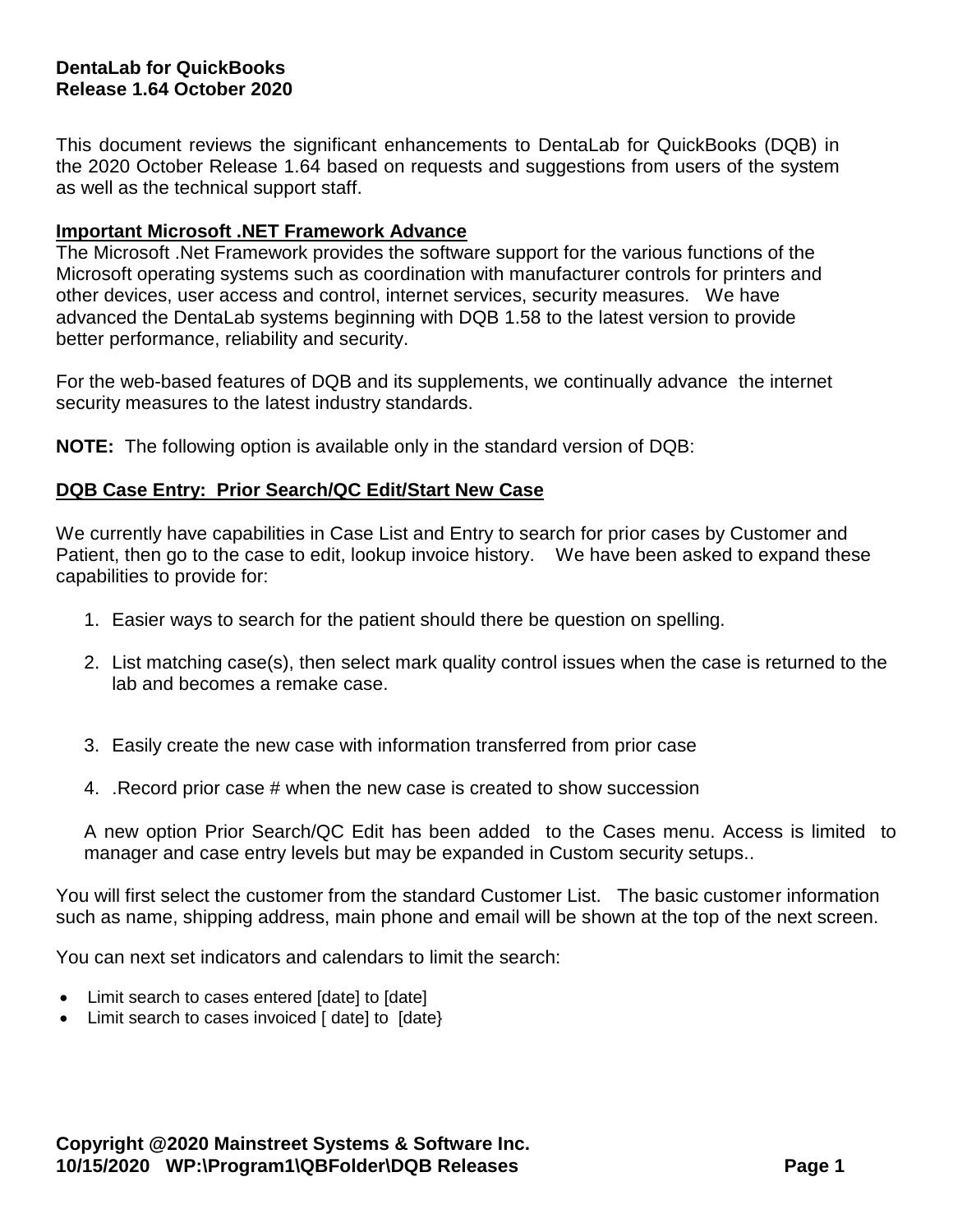# **DentaLab for QuickBooks Release 1.64 October 2020**

This document reviews the significant enhancements to DentaLab for QuickBooks (DQB) in the 2020 October Release 1.64 based on requests and suggestions from users of the system as well as the technical support staff.

#### **Important Microsoft .NET Framework Advance**

The Microsoft .Net Framework provides the software support for the various functions of the Microsoft operating systems such as coordination with manufacturer controls for printers and other devices, user access and control, internet services, security measures. We have advanced the DentaLab systems beginning with DQB 1.58 to the latest version to provide better performance, reliability and security.

For the web-based features of DQB and its supplements, we continually advance the internet security measures to the latest industry standards.

**NOTE:** The following option is available only in the standard version of DQB:

### **DQB Case Entry: Prior Search/QC Edit/Start New Case**

We currently have capabilities in Case List and Entry to search for prior cases by Customer and Patient, then go to the case to edit, lookup invoice history. We have been asked to expand these capabilities to provide for:

- 1. Easier ways to search for the patient should there be question on spelling.
- 2. List matching case(s), then select mark quality control issues when the case is returned to the lab and becomes a remake case.
- 3. Easily create the new case with information transferred from prior case
- 4. .Record prior case # when the new case is created to show succession

A new option Prior Search/QC Edit has been added to the Cases menu. Access is limited to manager and case entry levels but may be expanded in Custom security setups..

You will first select the customer from the standard Customer List. The basic customer information such as name, shipping address, main phone and email will be shown at the top of the next screen.

You can next set indicators and calendars to limit the search:

- Limit search to cases entered [date] to [date]
- Limit search to cases invoiced [ date] to [date}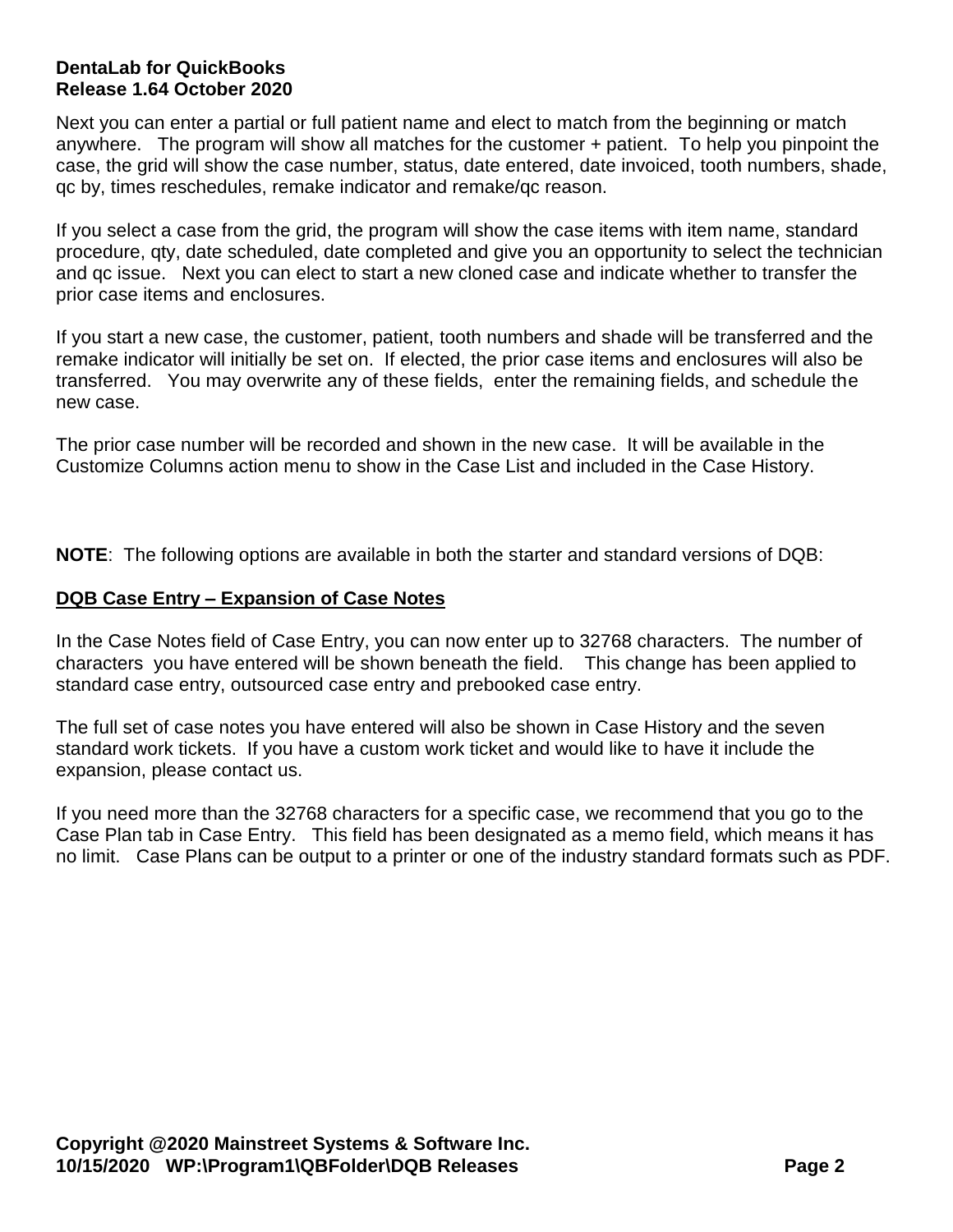# **DentaLab for QuickBooks Release 1.64 October 2020**

Next you can enter a partial or full patient name and elect to match from the beginning or match anywhere. The program will show all matches for the customer + patient. To help you pinpoint the case, the grid will show the case number, status, date entered, date invoiced, tooth numbers, shade, qc by, times reschedules, remake indicator and remake/qc reason.

If you select a case from the grid, the program will show the case items with item name, standard procedure, qty, date scheduled, date completed and give you an opportunity to select the technician and qc issue. Next you can elect to start a new cloned case and indicate whether to transfer the prior case items and enclosures.

If you start a new case, the customer, patient, tooth numbers and shade will be transferred and the remake indicator will initially be set on. If elected, the prior case items and enclosures will also be transferred. You may overwrite any of these fields, enter the remaining fields, and schedule the new case.

The prior case number will be recorded and shown in the new case. It will be available in the Customize Columns action menu to show in the Case List and included in the Case History.

**NOTE**: The following options are available in both the starter and standard versions of DQB:

# **DQB Case Entry – Expansion of Case Notes**

In the Case Notes field of Case Entry, you can now enter up to 32768 characters. The number of characters you have entered will be shown beneath the field. This change has been applied to standard case entry, outsourced case entry and prebooked case entry.

The full set of case notes you have entered will also be shown in Case History and the seven standard work tickets. If you have a custom work ticket and would like to have it include the expansion, please contact us.

If you need more than the 32768 characters for a specific case, we recommend that you go to the Case Plan tab in Case Entry. This field has been designated as a memo field, which means it has no limit. Case Plans can be output to a printer or one of the industry standard formats such as PDF.